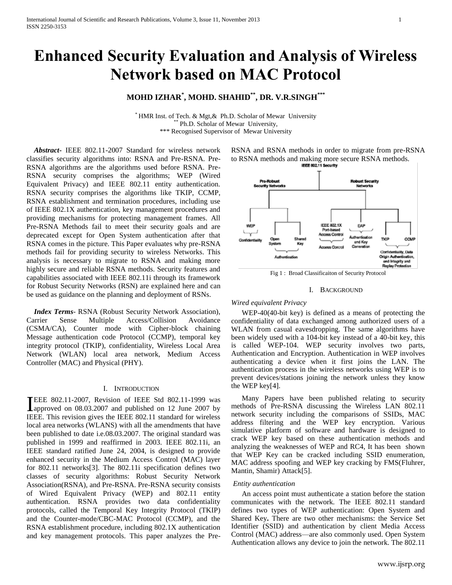# **Enhanced Security Evaluation and Analysis of Wireless Network based on MAC Protocol**

# **MOHD IZHAR\* , MOHD. SHAHID\*\* , DR. V.R.SINGH\*\*\***

 $*$  HMR Inst. of Tech. & Mgt, & Ph.D. Scholar of Mewar University Ph.D. Scholar of Mewar University, \*\*\* Recognised Supervisor of Mewar University

 *Abstract-* IEEE 802.11-2007 Standard for wireless network classifies security algorithms into: RSNA and Pre-RSNA. Pre-RSNA algorithms are the algorithms used before RSNA. Pre-RSNA security comprises the algorithms; WEP (Wired Equivalent Privacy) and IEEE 802.11 entity authentication. RSNA security comprises the algorithms like TKIP, CCMP, RSNA establishment and termination procedures, including use of IEEE 802.1X authentication, key management procedures and providing mechanisms for protecting management frames. All Pre-RSNA Methods fail to meet their security goals and are deprecated except for Open System authentication after that RSNA comes in the picture. This Paper evaluates why pre-RSNA methods fail for providing security to wireless Networks. This analysis is necessary to migrate to RSNA and making more highly secure and reliable RSNA methods. Security features and capabilities associated with IEEE 802.11i through its framework for Robust Security Networks (RSN) are explained here and can be used as guidance on the planning and deployment of RSNs.

 *Index Terms*- RSNA (Robust Security Network Association), Carrier Sense Multiple Access/Collision Avoidance (CSMA/CA), Counter mode with Cipher-block chaining Message authentication code Protocol (CCMP), temporal key integrity protocol (TKIP), confidentiality, Wireless Local Area Network (WLAN) local area network, Medium Access Controller (MAC) and Physical (PHY).

# I. INTRODUCTION

EEE 802.11-2007, Revision of IEEE Std 802.11-1999 was THE 802.11-2007, Revision of IEEE Std 802.11-1999 was<br>
Improved on 08.03.2007 and published on 12 June 2007 by IEEE. This revision gives the IEEE 802.11 standard for wireless local area networks (WLANS) with all the amendments that have been published to date i.e.08.03.2007. The original standard was published in 1999 and reaffirmed in 2003. IEEE 802.11i, an IEEE standard ratified June 24, 2004, is designed to provide enhanced security in the Medium Access Control (MAC) layer for 802.11 networks[3]. The 802.11i specification defines two classes of security algorithms: Robust Security Network Association(RSNA), and Pre-RSNA. Pre-RSNA security consists of Wired Equivalent Privacy (WEP) and 802.11 entity authentication. RSNA provides two data confidentiality protocols, called the Temporal Key Integrity Protocol (TKIP) and the Counter-mode/CBC-MAC Protocol (CCMP), and the RSNA establishment procedure, including 802.1X authentication and key management protocols. This paper analyzes the PreRSNA and RSNA methods in order to migrate from pre-RSNA to RSNA methods and making more secure RSNA methods.



Fig 1 : Broad Classificaiton of Security Protocol

#### I. BACKGROUND

# *Wired equivalent Privacy*

WEP-40(40-bit key) is defined as a means of protecting the confidentiality of data exchanged among authorized users of a WLAN from casual eavesdropping. The same algorithms have been widely used with a 104-bit key instead of a 40-bit key, this is called WEP-104. WEP security involves two parts, Authentication and Encryption. Authentication in WEP involves authenticating a device when it first joins the LAN. The authentication process in the wireless networks using WEP is to prevent devices/stations joining the network unless they know the WEP key[4].

Many Papers have been published relating to security methods of Pre-RSNA discussing the Wireless LAN 802.11 network security including the comparisons of SSIDs, MAC address filtering and the WEP key encryption. Various simulative platform of software and hardware is designed to crack WEP key based on these authentication methods and analyzing the weaknesses of WEP and RC4, It has been shown that WEP Key can be cracked including SSID enumeration, MAC address spoofing and WEP key cracking by FMS(Fluhrer, Mantin, Shamir) Attack[5].

# *Entity authentication*

An access point must authenticate a station before the station communicates with the network. The IEEE 802.11 standard defines two types of WEP authentication: Open System and Shared Key**.** There are two other mechanisms: the Service Set Identifier (SSID) and authentication by client Media Access Control (MAC) address—are also commonly used. Open System Authentication allows any device to join the network. The 802.11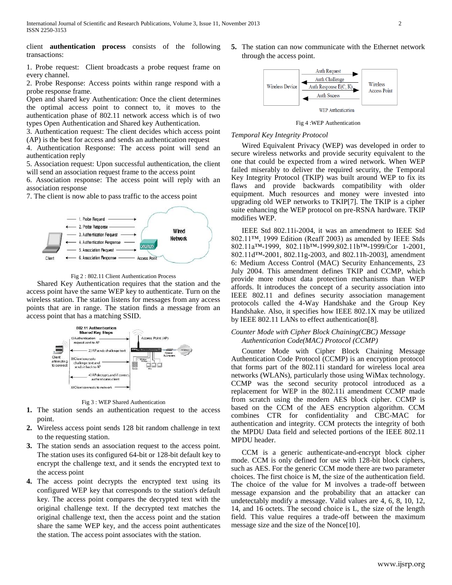client **authentication process** consists of the following transactions:

1. Probe request: Client broadcasts a probe request frame on every channel.

2. Probe Response: Access points within range respond with a probe response frame.

Open and shared key Authentication: Once the client determines the optimal access point to connect to, it moves to the authentication phase of 802.11 network access which is of two types Open Authentication and Shared key Authentication.

3. Authentication request: The client decides which access point (AP) is the best for access and sends an authentication request

4. Authentication Response: The access point will send an authentication reply

5. Association request: Upon successful authentication, the client will send an association request frame to the access point

6. Association response: The access point will reply with an association response

7. The client is now able to pass traffic to the access point



Fig 2 : 802.11 Client Authentication Process

Shared Key Authentication requires that the station and the access point have the same WEP key to authenticate. Turn on the wireless station. The station listens for messages from any access points that are in range. The station finds a message from an access point that has a matching SSID.



Fig 3 : WEP Shared Authentication

- **1.** The station sends an authentication request to the access point.
- **2.** Wireless access point sends 128 bit random challenge in text to the requesting station.
- **3.** The station sends an association request to the access point. The station uses its configured 64-bit or 128-bit default key to encrypt the challenge text, and it sends the encrypted text to the access point
- **4.** The access point decrypts the encrypted text using its configured WEP key that corresponds to the station's default key. The access point compares the decrypted text with the original challenge text. If the decrypted text matches the original challenge text, then the access point and the station share the same WEP key, and the access point authenticates the station. The access point associates with the station.

**5.** The station can now communicate with the Ethernet network through the access point.



Fig 4 :WEP Authentication

### *Temporal Key Integrity Protocol*

Wired Equivalent Privacy (WEP) was developed in order to secure wireless networks and provide security equivalent to the one that could be expected from a wired network. When WEP failed miserably to deliver the required security, the Temporal Key Integrity Protocol (TKIP) was built around WEP to fix its flaws and provide backwards compatibility with older equipment. Much resources and money were invested into upgrading old WEP networks to TKIP[7]. The TKIP is a cipher suite enhancing the WEP protocol on pre-RSNA hardware. TKIP modifies WEP.

IEEE Std 802.11i-2004, it was an amendment to IEEE Std 802.11™, 1999 Edition (Reaff 2003) as amended by IEEE Stds 802.11a™-1999, 802.11b™-1999,802.11b™-1999/Cor 1-2001, 802.11d™-2001, 802.11g-2003, and 802.11h-2003], amendment 6: Medium Access Control (MAC) Security Enhancements, 23 July 2004. This amendment defines TKIP and CCMP, which provide more robust data protection mechanisms than WEP affords. It introduces the concept of a security association into IEEE 802.11 and defines security association management protocols called the 4-Way Handshake and the Group Key Handshake. Also, it specifies how IEEE 802.1X may be utilized by IEEE 802.11 LANs to effect authentication[8].

# *Counter Mode with Cipher Block Chaining(CBC) Message Authentication Code(MAC) Protocol (CCMP)*

Counter Mode with Cipher Block Chaining Message Authentication Code Protocol (CCMP) is an encryption protocol that forms part of the 802.11i standard for wireless local area networks (WLANs), particularly those using WiMax technology. CCMP was the second security protocol introduced as a replacement for WEP in the 802.11i amendment CCMP made from scratch using the modern AES block cipher. CCMP is based on the CCM of the AES encryption algorithm. CCM combines CTR for confidentiality and CBC-MAC for authentication and integrity. CCM protects the integrity of both the MPDU Data field and selected portions of the IEEE 802.11 MPDU header.

CCM is a generic authenticate-and-encrypt block cipher mode. CCM is only defined for use with 128-bit block ciphers, such as AES. For the generic CCM mode there are two parameter choices. The first choice is M, the size of the authentication field. The choice of the value for M involves a trade-off between message expansion and the probability that an attacker can undetectably modify a message. Valid values are 4, 6, 8, 10, 12, 14, and 16 octets. The second choice is L, the size of the length field. This value requires a trade-off between the maximum message size and the size of the Nonce[10].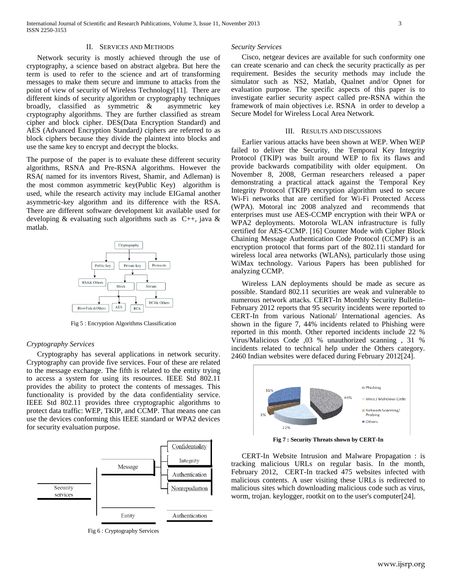# II. SERVICES AND METHODS

Network security is mostly achieved through the use of cryptography, a science based on abstract algebra. But here the term is used to refer to the science and art of transforming messages to make them secure and immune to attacks from the point of view of security of Wireless Technology[11]. There are different kinds of security algorithm or cryptography techniques broadly, classified as symmetric & asymmetric key cryptography algorithms. They are further classified as stream cipher and block cipher. DES(Data Encryption Standard) and AES (Advanced Encryption Standard*)* ciphers are referred to as block ciphers because they divide the plaintext into blocks and use the same key to encrypt and decrypt the blocks.

The purpose of the paper is to evaluate these different security algorithms, RSNA and Pre-RSNA algorithms. However the RSA( named for its inventors Rivest, Shamir, and Adleman) is the most common asymmetric key(Public Key) algorithm is used, while the research activity may include EIGamal another asymmetric-key algorithm and its difference with the RSA. There are different software development kit available used for developing & evaluating such algorithms such as C++, java & matlab.



Fig 5 : Encryption Algorithms Classification

#### *Cryptography Services*

Cryptography has several applications in network security. Cryptography can provide five services. Four of these are related to the message exchange. The fifth is related to the entity trying to access a system for using its resources. IEEE Std 802.11 provides the ability to protect the contents of messages. This functionality is provided by the data confidentiality service. IEEE Std 802.11 provides three cryptographic algorithms to protect data traffic: WEP, TKIP, and CCMP. That means one can use the devices conforming this IEEE standard or WPA2 devices for security evaluation purpose.



Fig 6 : Cryptography Services

#### *Security Services*

Cisco, netgear devices are available for such conformity one can create scenario and can check the security practically as per requirement. Besides the security methods may include the simulator such as NS2, Matlab, Qualnet and/or Opnet for evaluation purpose. The specific aspects of this paper is to investigate earlier security aspect called pre-RSNA within the framework of main objectives i.e. RSNA in order to develop a Secure Model for Wireless Local Area Network.

#### III. RESULTS AND DISCUSSIONS

Earlier various attacks have been shown at WEP. When WEP failed to deliver the Security, the Temporal Key Integrity Protocol (TKIP) was built around WEP to fix its flaws and provide backwards compatibility with older equipment. On November 8, 2008, German researchers released a paper demonstrating a practical attack against the Temporal Key Integrity Protocol (TKIP) encryption algorithm used to secure Wi-Fi networks that are certified for Wi-Fi Protected Access (WPA). Motoral inc 2008 analyzed and recommends that enterprises must use AES-CCMP encryption with their WPA or WPA2 deployments. Motorola WLAN infrastructure is fully certified for AES-CCMP. [16] Counter Mode with Cipher Block Chaining Message Authentication Code Protocol (CCMP) is an encryption protocol that forms part of the 802.11i standard for wireless local area networks (WLANs), particularly those using WiMax technology. Various Papers has been published for analyzing CCMP.

Wireless LAN deployments should be made as secure as possible. Standard 802.11 securities are weak and vulnerable to numerous network attacks. CERT-In Monthly Security Bulletin-February 2012 reports that 95 security incidents were reported to CERT-In from various National/ International agencies. As shown in the figure 7, 44% incidents related to Phishing were reported in this month. Other reported incidents include 22 % Virus/Malicious Code ,03 % unauthorized scanning , 31 % incidents related to technical help under the Others category. 2460 Indian websites were defaced during February 2012[24].



**Fig 7 : Security Threats shown by CERT-In**

CERT-In Website Intrusion and Malware Propagation : is tracking malicious URLs on regular basis. In the month, February 2012, CERT-In tracked 475 websites infected with malicious contents. A user visiting these URLs is redirected to malicious sites which downloading malicious code such as virus, worm, trojan. keylogger, rootkit on to the user's computer[24].